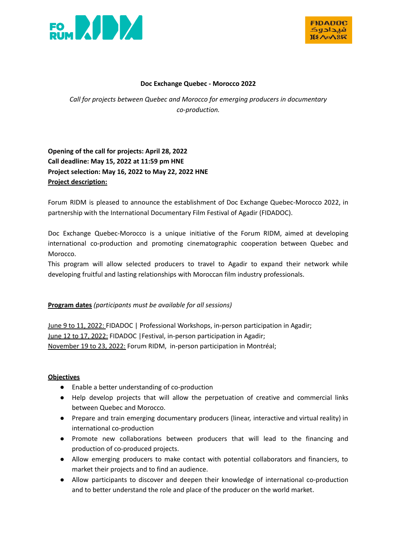



#### **Doc Exchange Quebec - Morocco 2022**

*Call for projects between Quebec and Morocco for emerging producers in documentary co-production.*

**Opening of the call for projects: April 28, 2022 Call deadline: May 15, 2022 at 11:59 pm HNE Project selection: May 16, 2022 to May 22, 2022 HNE Project description:**

Forum RIDM is pleased to announce the establishment of Doc Exchange Quebec-Morocco 2022, in partnership with the International Documentary Film Festival of Agadir (FIDADOC).

Doc Exchange Quebec-Morocco is a unique initiative of the Forum RIDM, aimed at developing international co-production and promoting cinematographic cooperation between Quebec and Morocco.

This program will allow selected producers to travel to Agadir to expand their network while developing fruitful and lasting relationships with Moroccan film industry professionals.

### **Program dates** *(participants must be available for all sessions)*

June 9 to 11, 2022: FIDADOC | Professional Workshops, in-person participation in Agadir; June 12 to 17, 2022: FIDADOC |Festival, in-person participation in Agadir; November 19 to 23, 2022: Forum RIDM, in-person participation in Montréal;

### **Objectives**

- Enable a better understanding of co-production
- Help develop projects that will allow the perpetuation of creative and commercial links between Quebec and Morocco.
- Prepare and train emerging documentary producers (linear, interactive and virtual reality) in international co-production
- Promote new collaborations between producers that will lead to the financing and production of co-produced projects.
- Allow emerging producers to make contact with potential collaborators and financiers, to market their projects and to find an audience.
- Allow participants to discover and deepen their knowledge of international co-production and to better understand the role and place of the producer on the world market.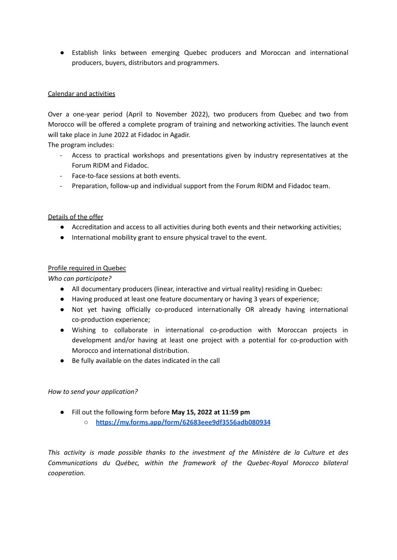● Establish links between emerging Quebec producers and Moroccan and international producers, buyers, distributors and programmers.

## Calendar and activities

Over a one-year period (April to November 2022), two producers from Quebec and two from Morocco will be offered a complete program of training and networking activities. The launch event will take place in June 2022 at Fidadoc in Agadir.

The program includes:

- Access to practical workshops and presentations given by industry representatives at the Forum RIDM and Fidadoc.
- Face-to-face sessions at both events.
- Preparation, follow-up and individual support from the Forum RIDM and Fidadoc team.

## Details of the offer

- Accreditation and access to all activities during both events and their networking activities;
- International mobility grant to ensure physical travel to the event.

## Profile required in Quebec

*Who can participate?*

- All documentary producers (linear, interactive and virtual reality) residing in Quebec:
- Having produced at least one feature documentary or having 3 years of experience;
- Not yet having officially co-produced internationally OR already having international co-production experience;
- Wishing to collaborate in international co-production with Moroccan projects in development and/or having at least one project with a potential for co-production with Morocco and international distribution.
- Be fully available on the dates indicated in the call

### *How to send your application?*

- Fill out the following form before **May 15, 2022 at 11:59 pm**
	- **○ <https://my.forms.app/form/62683eee9df3556adb080934>**

*This activity is made possible thanks to the investment of the Ministère de la Culture et des Communications du Québec, within the framework of the Quebec-Royal Morocco bilateral cooperation.*